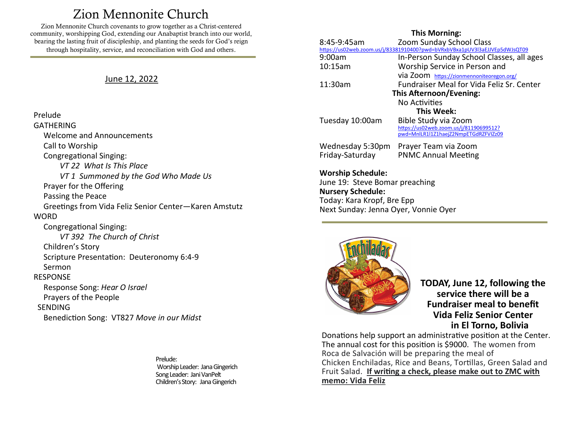# Zion Mennonite Church

<span id="page-0-0"></span>Zion Mennonite Church covenants to grow together as a Christ-centered community, worshipping God, extending our Anabaptist branch into our world, bearing the lasting fruit of discipleship, and planting the seeds for God's reign through hospitality, service, and reconciliation with God and others.

### June 12, 2022

Prelude GATHERING Welcome and Announcements Call to Worship Congregational Singing: *VT 22 What Is This Place VT 1 Summoned by the God Who Made Us* Prayer for the Offering Passing the Peace Greetings from Vida Feliz Senior Center—Karen Amstutz **WORD**  Congregational Singing: *VT 392 The Church of Christ* Children's Story Scripture Presentation: Deuteronomy 6:4-9 Sermon RESPONSE Response Song: *Hear O Israel* Prayers of the People SENDING Benediction Song: VT827 *Move in our Midst*

> Prelude: Worship Leader: Jana Gingerich Song Leader: Jani VanPelt Children's Story: Jana Gingerich

#### **This Morning:**

| 8:45-9:45am                                                                | Zoom Sunday School Class                  |
|----------------------------------------------------------------------------|-------------------------------------------|
| https://us02web.zoom.us/j/83381910400?pwd=bVRxbVBxa1pUV3l3aEJJVEp5dWJsQT09 |                                           |
| 9:00am                                                                     | In-Person Sunday School Classes, all ages |
| 10:15am                                                                    | Worship Service in Person and             |
|                                                                            | via Zoom https://zionmennoniteoregon.org/ |
| 11:30am                                                                    | Fundraiser Meal for Vida Feliz Sr. Center |
| This Afternoon/Evening:                                                    |                                           |
|                                                                            | No Activities                             |
| This Week:                                                                 |                                           |
| Tuesday 10:00am                                                            | Bible Study via Zoom                      |
|                                                                            | https://us02web.zoom.us/j/81190699512?    |
|                                                                            | pwd=MnlLR1l1Z1haejZ2NmpETGdRZFVIZz09      |
| Wednesday 5:30pm                                                           | Prayer Team via Zoom                      |
| Friday-Saturday                                                            | <b>PNMC Annual Meeting</b>                |
|                                                                            |                                           |
|                                                                            |                                           |

**Worship Schedule:**  June 19: Steve Bomar preaching **Nursery Schedule:** Today: Kara Kropf, Bre Epp Next Sunday: Jenna Oyer, Vonnie Oyer



**TODAY, June 12, following the service there will be a Fundraiser meal to benefit Vida Feliz Senior Center in El Torno, Bolivia**

Donations help support an administrative position at the Center. The annual cost for this position is \$9000. The women from Roca de Salvación will be preparing the meal of Chicken Enchiladas, Rice and Beans, Tortillas, Green Salad and Fruit Salad. **If writing a check, please make out to ZMC with memo: Vida Feliz**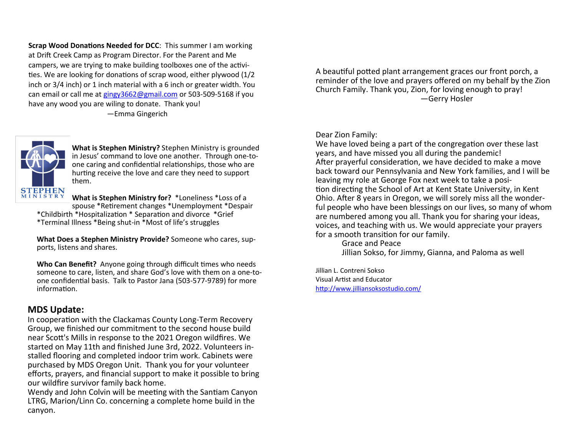**Scrap Wood Donations Needed for DCC**: This summer I am working at Drift Creek Camp as Program Director. For the Parent and Me campers, we are trying to make building toolboxes one of the activities. We are looking for donations of scrap wood, either plywood (1/2 inch or 3/4 inch) or 1 inch material with a 6 inch or greater width. You can email or call me at [gingy3662@gmail.com](mailto:gingy3662@gmail.com) or 503-509-5168 if you have any wood you are wiling to donate. Thank you!

—Emma Gingerich



**What is Stephen Ministry?** Stephen Ministry is grounded in Jesus' command to love one another. Through one-toone caring and confidential relationships, those who are hurting receive the love and care they need to support them.

**What is Stephen Ministry for?** \*Loneliness \*Loss of a spouse \*Retirement changes \*Unemployment \*Despair

\*Childbirth \*Hospitalization \* Separation and divorce \*Grief \*Terminal Illness \*Being shut-in \*Most of life's struggles

**What Does a Stephen Ministry Provide?** Someone who cares, supports, listens and shares.

**Who Can Benefit?** Anyone going through difficult times who needs someone to care, listen, and share God's love with them on a one-toone confidential basis. Talk to Pastor Jana (503-577-9789) for more information.

## **MDS Update:**

In cooperation with the Clackamas County Long-Term Recovery Group, we finished our commitment to the second house build near Scott's Mills in response to the 2021 Oregon wildfires. We started on May 11th and finished June 3rd, 2022. Volunteers installed flooring and completed indoor trim work. Cabinets were purchased by MDS Oregon Unit. Thank you for your volunteer efforts, prayers, and financial support to make it possible to bring our wildfire survivor family back home.

Wendy and John Colvin will be meeting with the Santiam Canyon LTRG, Marion/Linn Co. concerning a complete home build in the canyon.

A beautiful potted plant arrangement graces our front porch, a reminder of the love and prayers offered on my behalf by the Zion Church Family. Thank you, Zion, for loving enough to pray! —Gerry Hosler

Dear Zion Family:

We have loved being a part of the congregation over these last years, and have missed you all during the pandemic! After prayerful consideration, we have decided to make a move back toward our Pennsylvania and New York families, and I will be leaving my role at George Fox next week to take a position directing the School of Art at Kent State University, in Kent Ohio. After 8 years in Oregon, we will sorely miss all the wonderful people who have been blessings on our lives, so many of whom are numbered among you all. Thank you for sharing your ideas, voices, and teaching with us. We would appreciate your prayers for a smooth transition for our family.

Grace and Peace Jillian Sokso, for Jimmy, Gianna, and Paloma as well

Jillian L. Contreni Sokso Visual Artist and Educator <http://www.jilliansoksostudio.com/>